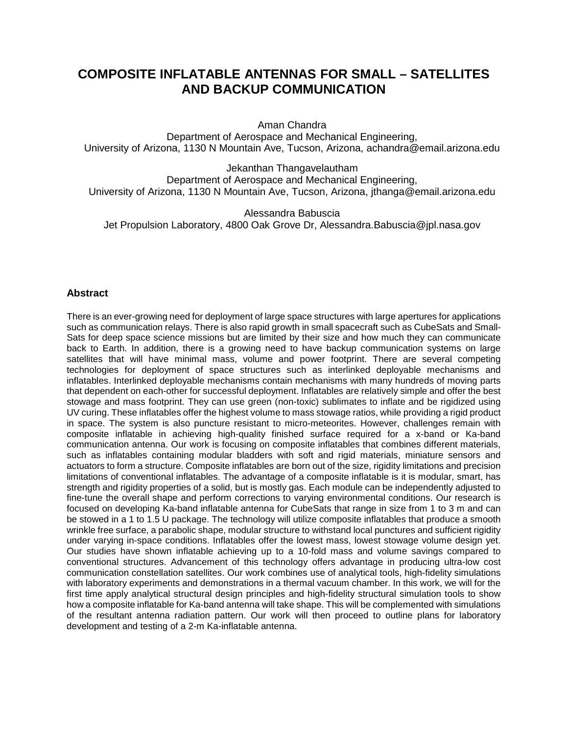# **COMPOSITE INFLATABLE ANTENNAS FOR SMALL – SATELLITES AND BACKUP COMMUNICATION**

Aman Chandra

Department of Aerospace and Mechanical Engineering, University of Arizona, 1130 N Mountain Ave, Tucson, Arizona, achandra@email.arizona.edu

Jekanthan Thangavelautham Department of Aerospace and Mechanical Engineering, University of Arizona, 1130 N Mountain Ave, Tucson, Arizona, jthanga@email.arizona.edu

Alessandra Babuscia Jet Propulsion Laboratory, 4800 Oak Grove Dr, Alessandra.Babuscia@jpl.nasa.gov

## **Abstract**

There is an ever-growing need for deployment of large space structures with large apertures for applications such as communication relays. There is also rapid growth in small spacecraft such as CubeSats and Small-Sats for deep space science missions but are limited by their size and how much they can communicate back to Earth. In addition, there is a growing need to have backup communication systems on large satellites that will have minimal mass, volume and power footprint. There are several competing technologies for deployment of space structures such as interlinked deployable mechanisms and inflatables. Interlinked deployable mechanisms contain mechanisms with many hundreds of moving parts that dependent on each-other for successful deployment. Inflatables are relatively simple and offer the best stowage and mass footprint. They can use green (non-toxic) sublimates to inflate and be rigidized using UV curing. These inflatables offer the highest volume to mass stowage ratios, while providing a rigid product in space. The system is also puncture resistant to micro-meteorites. However, challenges remain with composite inflatable in achieving high-quality finished surface required for a x-band or Ka-band communication antenna. Our work is focusing on composite inflatables that combines different materials, such as inflatables containing modular bladders with soft and rigid materials, miniature sensors and actuators to form a structure. Composite inflatables are born out of the size, rigidity limitations and precision limitations of conventional inflatables. The advantage of a composite inflatable is it is modular, smart, has strength and rigidity properties of a solid, but is mostly gas. Each module can be independently adjusted to fine-tune the overall shape and perform corrections to varying environmental conditions. Our research is focused on developing Ka-band inflatable antenna for CubeSats that range in size from 1 to 3 m and can be stowed in a 1 to 1.5 U package. The technology will utilize composite inflatables that produce a smooth wrinkle free surface, a parabolic shape, modular structure to withstand local punctures and sufficient rigidity under varying in-space conditions. Inflatables offer the lowest mass, lowest stowage volume design yet. Our studies have shown inflatable achieving up to a 10-fold mass and volume savings compared to conventional structures. Advancement of this technology offers advantage in producing ultra-low cost communication constellation satellites. Our work combines use of analytical tools, high-fidelity simulations with laboratory experiments and demonstrations in a thermal vacuum chamber. In this work, we will for the first time apply analytical structural design principles and high-fidelity structural simulation tools to show how a composite inflatable for Ka-band antenna will take shape. This will be complemented with simulations of the resultant antenna radiation pattern. Our work will then proceed to outline plans for laboratory development and testing of a 2-m Ka-inflatable antenna.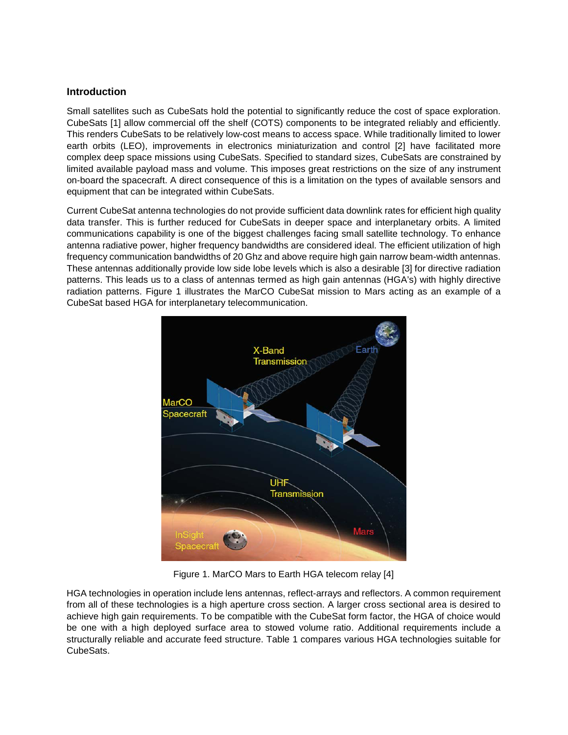## **Introduction**

Small satellites such as CubeSats hold the potential to significantly reduce the cost of space exploration. CubeSats [1] allow commercial off the shelf (COTS) components to be integrated reliably and efficiently. This renders CubeSats to be relatively low-cost means to access space. While traditionally limited to lower earth orbits (LEO), improvements in electronics miniaturization and control [2] have facilitated more complex deep space missions using CubeSats. Specified to standard sizes, CubeSats are constrained by limited available payload mass and volume. This imposes great restrictions on the size of any instrument on-board the spacecraft. A direct consequence of this is a limitation on the types of available sensors and equipment that can be integrated within CubeSats.

Current CubeSat antenna technologies do not provide sufficient data downlink rates for efficient high quality data transfer. This is further reduced for CubeSats in deeper space and interplanetary orbits. A limited communications capability is one of the biggest challenges facing small satellite technology. To enhance antenna radiative power, higher frequency bandwidths are considered ideal. The efficient utilization of high frequency communication bandwidths of 20 Ghz and above require high gain narrow beam-width antennas. These antennas additionally provide low side lobe levels which is also a desirable [3] for directive radiation patterns. This leads us to a class of antennas termed as high gain antennas (HGA's) with highly directive radiation patterns. Figure 1 illustrates the MarCO CubeSat mission to Mars acting as an example of a CubeSat based HGA for interplanetary telecommunication.



Figure 1. MarCO Mars to Earth HGA telecom relay [4]

HGA technologies in operation include lens antennas, reflect-arrays and reflectors. A common requirement from all of these technologies is a high aperture cross section. A larger cross sectional area is desired to achieve high gain requirements. To be compatible with the CubeSat form factor, the HGA of choice would be one with a high deployed surface area to stowed volume ratio. Additional requirements include a structurally reliable and accurate feed structure. Table 1 compares various HGA technologies suitable for CubeSats.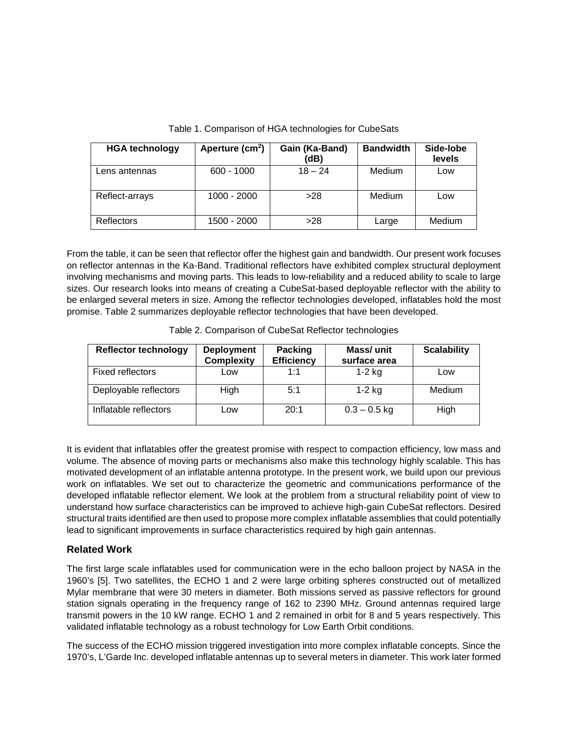| <b>HGA technology</b> | Aperture (cm <sup>2</sup> ) | Gain (Ka-Band)<br>(dB) | <b>Bandwidth</b> | Side-lobe<br>levels |
|-----------------------|-----------------------------|------------------------|------------------|---------------------|
| Lens antennas         | $600 - 1000$                | $18 - 24$              | Medium           | Low                 |
| Reflect-arrays        | $1000 - 2000$               | >28                    | Medium           | Low                 |
| <b>Reflectors</b>     | 1500 - 2000                 | >28                    | Large            | Medium              |

Table 1. Comparison of HGA technologies for CubeSats

From the table, it can be seen that reflector offer the highest gain and bandwidth. Our present work focuses on reflector antennas in the Ka-Band. Traditional reflectors have exhibited complex structural deployment involving mechanisms and moving parts. This leads to low-reliability and a reduced ability to scale to large sizes. Our research looks into means of creating a CubeSat-based deployable reflector with the ability to be enlarged several meters in size. Among the reflector technologies developed, inflatables hold the most promise. Table 2 summarizes deployable reflector technologies that have been developed.

| <b>Reflector technology</b> | <b>Deployment</b><br><b>Complexity</b> | Packing<br><b>Efficiency</b> | Mass/ unit<br>surface area | <b>Scalability</b> |
|-----------------------------|----------------------------------------|------------------------------|----------------------------|--------------------|
| Fixed reflectors            | Low                                    | 1.1                          | $1-2$ kg                   | Low                |
| Deployable reflectors       | <b>High</b>                            | 5:1                          | 1-2 kg                     | Medium             |
| Inflatable reflectors       | Low                                    | 20:1                         | $0.3 - 0.5$ kg             | High               |

Table 2. Comparison of CubeSat Reflector technologies

It is evident that inflatables offer the greatest promise with respect to compaction efficiency, low mass and volume. The absence of moving parts or mechanisms also make this technology highly scalable. This has motivated development of an inflatable antenna prototype. In the present work, we build upon our previous work on inflatables. We set out to characterize the geometric and communications performance of the developed inflatable reflector element. We look at the problem from a structural reliability point of view to understand how surface characteristics can be improved to achieve high-gain CubeSat reflectors. Desired structural traits identified are then used to propose more complex inflatable assemblies that could potentially lead to significant improvements in surface characteristics required by high gain antennas.

# **Related Work**

The first large scale inflatables used for communication were in the echo balloon project by NASA in the 1960's [5]. Two satellites, the ECHO 1 and 2 were large orbiting spheres constructed out of metallized Mylar membrane that were 30 meters in diameter. Both missions served as passive reflectors for ground station signals operating in the frequency range of 162 to 2390 MHz. Ground antennas required large transmit powers in the 10 kW range. ECHO 1 and 2 remained in orbit for 8 and 5 years respectively. This validated inflatable technology as a robust technology for Low Earth Orbit conditions.

The success of the ECHO mission triggered investigation into more complex inflatable concepts. Since the 1970's, L'Garde Inc. developed inflatable antennas up to several meters in diameter. This work later formed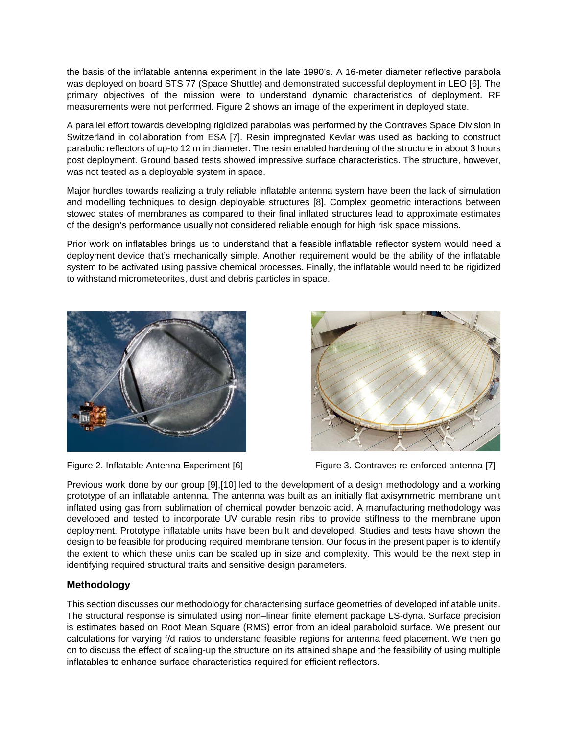the basis of the inflatable antenna experiment in the late 1990's. A 16-meter diameter reflective parabola was deployed on board STS 77 (Space Shuttle) and demonstrated successful deployment in LEO [6]. The primary objectives of the mission were to understand dynamic characteristics of deployment. RF measurements were not performed. Figure 2 shows an image of the experiment in deployed state.

A parallel effort towards developing rigidized parabolas was performed by the Contraves Space Division in Switzerland in collaboration from ESA [7]. Resin impregnated Kevlar was used as backing to construct parabolic reflectors of up-to 12 m in diameter. The resin enabled hardening of the structure in about 3 hours post deployment. Ground based tests showed impressive surface characteristics. The structure, however, was not tested as a deployable system in space.

Major hurdles towards realizing a truly reliable inflatable antenna system have been the lack of simulation and modelling techniques to design deployable structures [8]. Complex geometric interactions between stowed states of membranes as compared to their final inflated structures lead to approximate estimates of the design's performance usually not considered reliable enough for high risk space missions.

Prior work on inflatables brings us to understand that a feasible inflatable reflector system would need a deployment device that's mechanically simple. Another requirement would be the ability of the inflatable system to be activated using passive chemical processes. Finally, the inflatable would need to be rigidized to withstand micrometeorites, dust and debris particles in space.







Figure 2. Inflatable Antenna Experiment [6] Figure 3. Contraves re-enforced antenna [7]

Previous work done by our group [9],[10] led to the development of a design methodology and a working prototype of an inflatable antenna. The antenna was built as an initially flat axisymmetric membrane unit inflated using gas from sublimation of chemical powder benzoic acid. A manufacturing methodology was developed and tested to incorporate UV curable resin ribs to provide stiffness to the membrane upon deployment. Prototype inflatable units have been built and developed. Studies and tests have shown the design to be feasible for producing required membrane tension. Our focus in the present paper is to identify the extent to which these units can be scaled up in size and complexity. This would be the next step in identifying required structural traits and sensitive design parameters.

# **Methodology**

This section discusses our methodology for characterising surface geometries of developed inflatable units. The structural response is simulated using non–linear finite element package LS-dyna. Surface precision is estimates based on Root Mean Square (RMS) error from an ideal paraboloid surface. We present our calculations for varying f/d ratios to understand feasible regions for antenna feed placement. We then go on to discuss the effect of scaling-up the structure on its attained shape and the feasibility of using multiple inflatables to enhance surface characteristics required for efficient reflectors.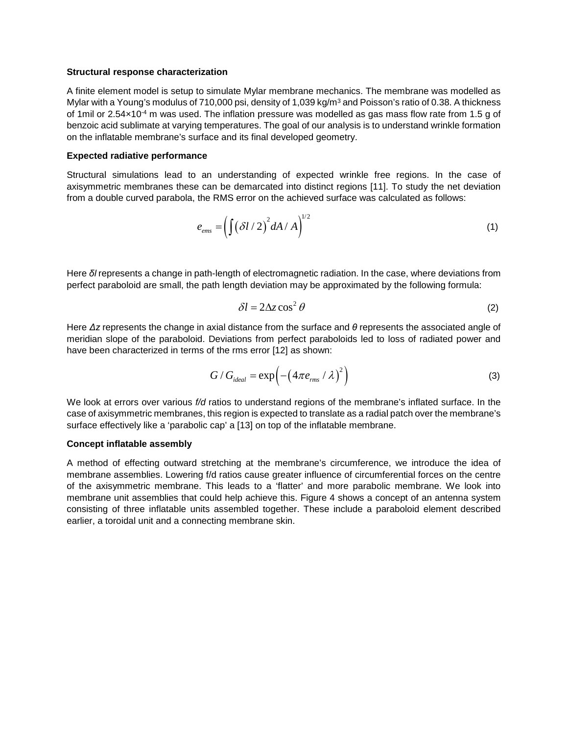#### **Structural response characterization**

A finite element model is setup to simulate Mylar membrane mechanics. The membrane was modelled as Mylar with a Young's modulus of 710,000 psi, density of 1,039 kg/m<sup>3</sup> and Poisson's ratio of 0.38. A thickness of 1mil or  $2.54 \times 10^{-4}$  m was used. The inflation pressure was modelled as gas mass flow rate from 1.5 g of benzoic acid sublimate at varying temperatures. The goal of our analysis is to understand wrinkle formation on the inflatable membrane's surface and its final developed geometry.

#### **Expected radiative performance**

Structural simulations lead to an understanding of expected wrinkle free regions. In the case of axisymmetric membranes these can be demarcated into distinct regions [11]. To study the net deviation from a double curved parabola, the RMS error on the achieved surface was calculated as follows:

$$
e_{\text{ems}} = \left(\int (\delta l / 2)^2 dA / A\right)^{1/2} \tag{1}
$$

Here *δl* represents a change in path-length of electromagnetic radiation. In the case, where deviations from perfect paraboloid are small, the path length deviation may be approximated by the following formula:

$$
\delta l = 2\Delta z \cos^2 \theta \tag{2}
$$

Here *Δz* represents the change in axial distance from the surface and *θ* represents the associated angle of meridian slope of the paraboloid. Deviations from perfect paraboloids led to loss of radiated power and have been characterized in terms of the rms error [12] as shown:

$$
G/G_{ideal} = \exp\left(-\left(4\pi e_{rms} / \lambda\right)^2\right)
$$
 (3)

We look at errors over various *f/d* ratios to understand regions of the membrane's inflated surface. In the case of axisymmetric membranes, this region is expected to translate as a radial patch over the membrane's surface effectively like a 'parabolic cap' a [13] on top of the inflatable membrane.

#### **Concept inflatable assembly**

A method of effecting outward stretching at the membrane's circumference, we introduce the idea of membrane assemblies. Lowering f/d ratios cause greater influence of circumferential forces on the centre of the axisymmetric membrane. This leads to a 'flatter' and more parabolic membrane. We look into membrane unit assemblies that could help achieve this. Figure 4 shows a concept of an antenna system consisting of three inflatable units assembled together. These include a paraboloid element described earlier, a toroidal unit and a connecting membrane skin.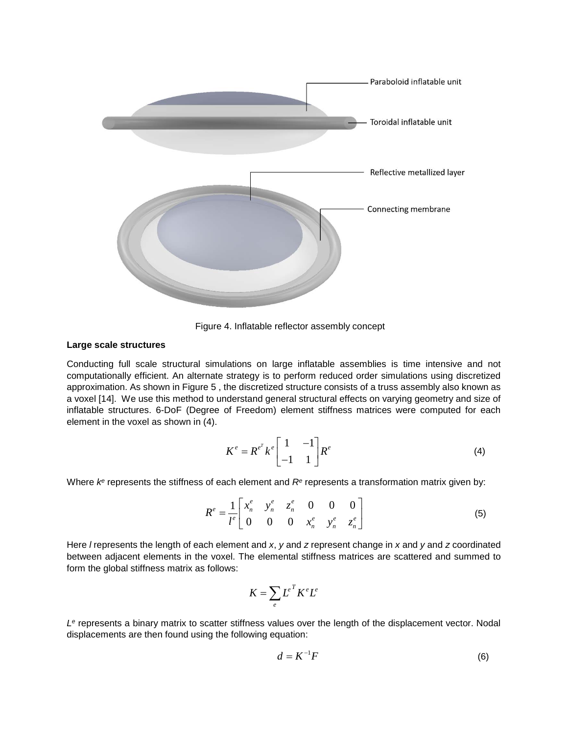

Figure 4. Inflatable reflector assembly concept

#### **Large scale structures**

Conducting full scale structural simulations on large inflatable assemblies is time intensive and not computationally efficient. An alternate strategy is to perform reduced order simulations using discretized approximation. As shown in Figure 5 , the discretized structure consists of a truss assembly also known as a voxel [14]. We use this method to understand general structural effects on varying geometry and size of inflatable structures. 6-DoF (Degree of Freedom) element stiffness matrices were computed for each element in the voxel as shown in (4).

$$
K^e = R^{e^T} k^e \begin{bmatrix} 1 & -1 \\ -1 & 1 \end{bmatrix} R^e \tag{4}
$$

Where  $k<sup>e</sup>$  represents the stiffness of each element and  $R<sup>e</sup>$  represents a transformation matrix given by:

$$
R^{e} = \frac{1}{l^{e}} \begin{bmatrix} x_{n}^{e} & y_{n}^{e} & z_{n}^{e} & 0 & 0 & 0 \\ 0 & 0 & 0 & x_{n}^{e} & y_{n}^{e} & z_{n}^{e} \end{bmatrix}
$$
 (5)

Here *l* represents the length of each element and *x*, *y* and *z* represent change in *x* and *y* and *z* coordinated between adjacent elements in the voxel. The elemental stiffness matrices are scattered and summed to form the global stiffness matrix as follows:

$$
K = \sum_{e} L^{e} K^{e} L^{e}
$$

*Le* represents a binary matrix to scatter stiffness values over the length of the displacement vector. Nodal displacements are then found using the following equation:

$$
d = K^{-1}F \tag{6}
$$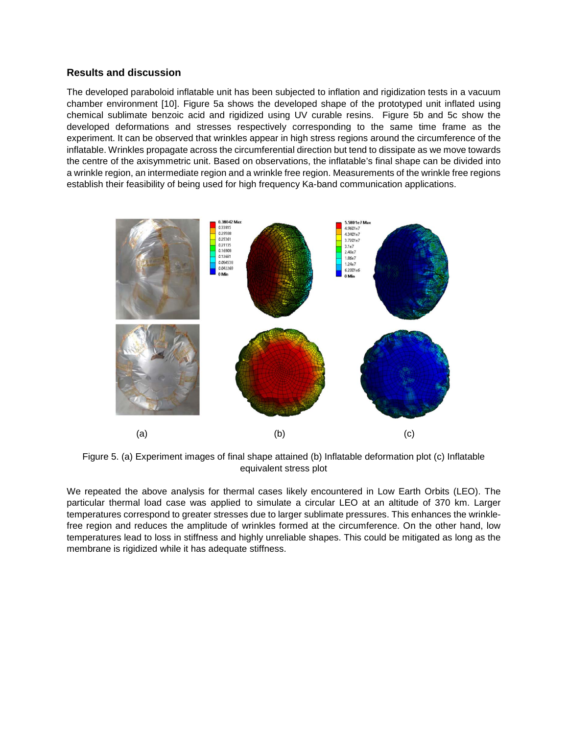## **Results and discussion**

The developed paraboloid inflatable unit has been subjected to inflation and rigidization tests in a vacuum chamber environment [10]. Figure 5a shows the developed shape of the prototyped unit inflated using chemical sublimate benzoic acid and rigidized using UV curable resins. Figure 5b and 5c show the developed deformations and stresses respectively corresponding to the same time frame as the experiment. It can be observed that wrinkles appear in high stress regions around the circumference of the inflatable. Wrinkles propagate across the circumferential direction but tend to dissipate as we move towards the centre of the axisymmetric unit. Based on observations, the inflatable's final shape can be divided into a wrinkle region, an intermediate region and a wrinkle free region. Measurements of the wrinkle free regions establish their feasibility of being used for high frequency Ka-band communication applications.



Figure 5. (a) Experiment images of final shape attained (b) Inflatable deformation plot (c) Inflatable equivalent stress plot

We repeated the above analysis for thermal cases likely encountered in Low Earth Orbits (LEO). The particular thermal load case was applied to simulate a circular LEO at an altitude of 370 km. Larger temperatures correspond to greater stresses due to larger sublimate pressures. This enhances the wrinklefree region and reduces the amplitude of wrinkles formed at the circumference. On the other hand, low temperatures lead to loss in stiffness and highly unreliable shapes. This could be mitigated as long as the membrane is rigidized while it has adequate stiffness.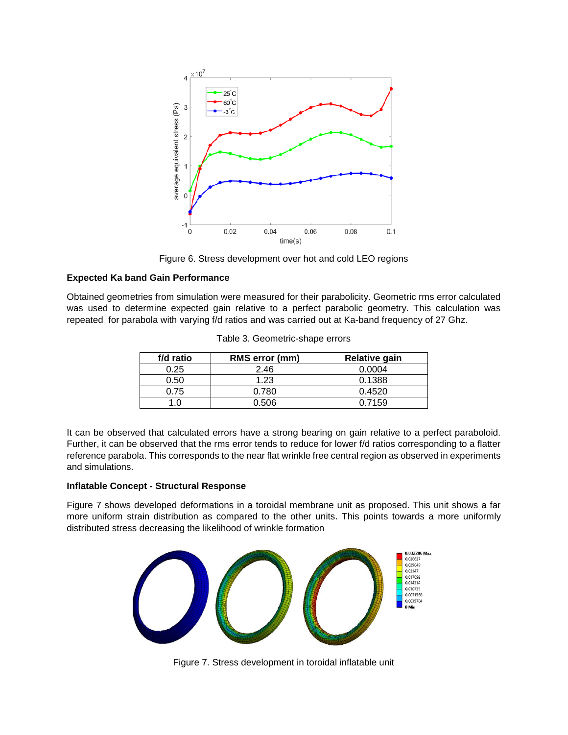

Figure 6. Stress development over hot and cold LEO regions

## **Expected Ka band Gain Performance**

Obtained geometries from simulation were measured for their parabolicity. Geometric rms error calculated was used to determine expected gain relative to a perfect parabolic geometry. This calculation was repeated for parabola with varying f/d ratios and was carried out at Ka-band frequency of 27 Ghz.

| f/d ratio | RMS error (mm) | Relative gain |  |
|-----------|----------------|---------------|--|
| 0.25      | 2.46           | 0.0004        |  |
| 0.50      | 1.23           | 0.1388        |  |
| 0.75      | 0.780          | 0.4520        |  |
|           | 0.506          | 0.7159        |  |

Table 3. Geometric-shape errors

It can be observed that calculated errors have a strong bearing on gain relative to a perfect paraboloid. Further, it can be observed that the rms error tends to reduce for lower f/d ratios corresponding to a flatter reference parabola. This corresponds to the near flat wrinkle free central region as observed in experiments and simulations.

## **Inflatable Concept - Structural Response**

Figure 7 shows developed deformations in a toroidal membrane unit as proposed. This unit shows a far more uniform strain distribution as compared to the other units. This points towards a more uniformly distributed stress decreasing the likelihood of wrinkle formation



Figure 7. Stress development in toroidal inflatable unit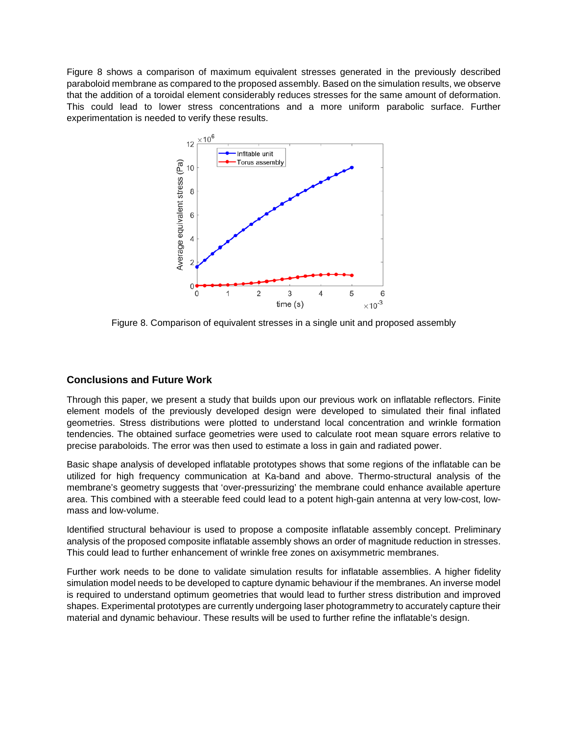Figure 8 shows a comparison of maximum equivalent stresses generated in the previously described paraboloid membrane as compared to the proposed assembly. Based on the simulation results, we observe that the addition of a toroidal element considerably reduces stresses for the same amount of deformation. This could lead to lower stress concentrations and a more uniform parabolic surface. Further experimentation is needed to verify these results.



Figure 8. Comparison of equivalent stresses in a single unit and proposed assembly

# **Conclusions and Future Work**

Through this paper, we present a study that builds upon our previous work on inflatable reflectors. Finite element models of the previously developed design were developed to simulated their final inflated geometries. Stress distributions were plotted to understand local concentration and wrinkle formation tendencies. The obtained surface geometries were used to calculate root mean square errors relative to precise paraboloids. The error was then used to estimate a loss in gain and radiated power.

Basic shape analysis of developed inflatable prototypes shows that some regions of the inflatable can be utilized for high frequency communication at Ka-band and above. Thermo-structural analysis of the membrane's geometry suggests that 'over-pressurizing' the membrane could enhance available aperture area. This combined with a steerable feed could lead to a potent high-gain antenna at very low-cost, lowmass and low-volume.

Identified structural behaviour is used to propose a composite inflatable assembly concept. Preliminary analysis of the proposed composite inflatable assembly shows an order of magnitude reduction in stresses. This could lead to further enhancement of wrinkle free zones on axisymmetric membranes.

Further work needs to be done to validate simulation results for inflatable assemblies. A higher fidelity simulation model needs to be developed to capture dynamic behaviour if the membranes. An inverse model is required to understand optimum geometries that would lead to further stress distribution and improved shapes. Experimental prototypes are currently undergoing laser photogrammetry to accurately capture their material and dynamic behaviour. These results will be used to further refine the inflatable's design.